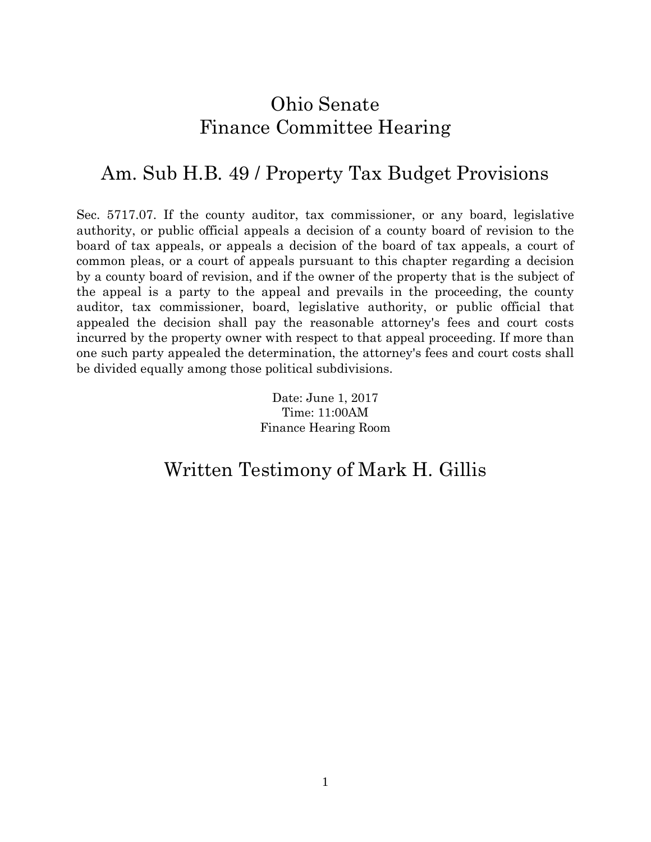# Ohio Senate Finance Committee Hearing

# Am. Sub H.B. 49 / Property Tax Budget Provisions

Sec. 5717.07. If the county auditor, tax commissioner, or any board, legislative authority, or public official appeals a decision of a county board of revision to the board of tax appeals, or appeals a decision of the board of tax appeals, a court of common pleas, or a court of appeals pursuant to this chapter regarding a decision by a county board of revision, and if the owner of the property that is the subject of the appeal is a party to the appeal and prevails in the proceeding, the county auditor, tax commissioner, board, legislative authority, or public official that appealed the decision shall pay the reasonable attorney's fees and court costs incurred by the property owner with respect to that appeal proceeding. If more than one such party appealed the determination, the attorney's fees and court costs shall be divided equally among those political subdivisions.

> Date: June 1, 2017 Time: 11:00AM Finance Hearing Room

# Written Testimony of Mark H. Gillis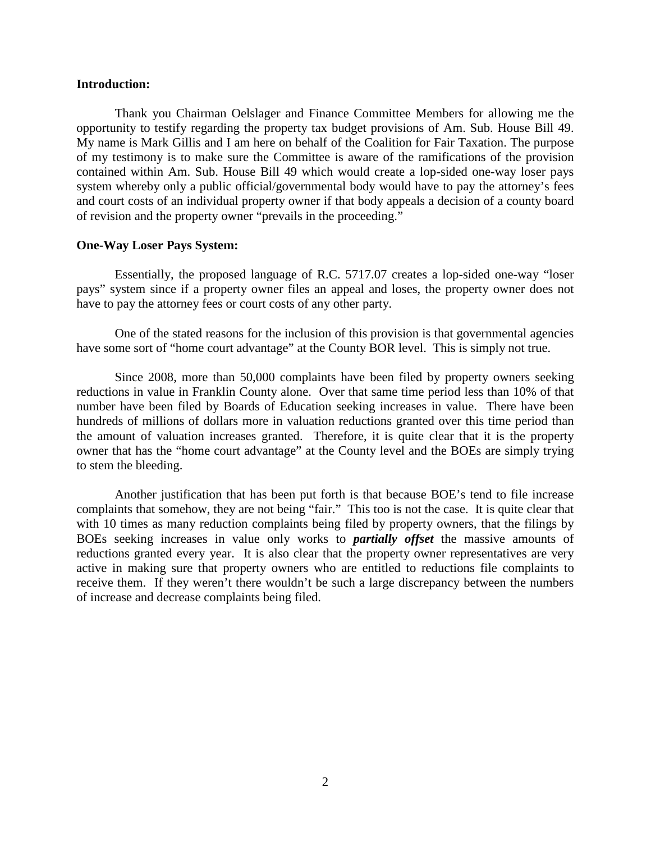### **Introduction:**

Thank you Chairman Oelslager and Finance Committee Members for allowing me the opportunity to testify regarding the property tax budget provisions of Am. Sub. House Bill 49. My name is Mark Gillis and I am here on behalf of the Coalition for Fair Taxation. The purpose of my testimony is to make sure the Committee is aware of the ramifications of the provision contained within Am. Sub. House Bill 49 which would create a lop-sided one-way loser pays system whereby only a public official/governmental body would have to pay the attorney's fees and court costs of an individual property owner if that body appeals a decision of a county board of revision and the property owner "prevails in the proceeding."

### **One-Way Loser Pays System:**

Essentially, the proposed language of R.C. 5717.07 creates a lop-sided one-way "loser pays" system since if a property owner files an appeal and loses, the property owner does not have to pay the attorney fees or court costs of any other party.

One of the stated reasons for the inclusion of this provision is that governmental agencies have some sort of "home court advantage" at the County BOR level. This is simply not true.

Since 2008, more than 50,000 complaints have been filed by property owners seeking reductions in value in Franklin County alone. Over that same time period less than 10% of that number have been filed by Boards of Education seeking increases in value. There have been hundreds of millions of dollars more in valuation reductions granted over this time period than the amount of valuation increases granted. Therefore, it is quite clear that it is the property owner that has the "home court advantage" at the County level and the BOEs are simply trying to stem the bleeding.

Another justification that has been put forth is that because BOE's tend to file increase complaints that somehow, they are not being "fair." This too is not the case. It is quite clear that with 10 times as many reduction complaints being filed by property owners, that the filings by BOEs seeking increases in value only works to *partially offset* the massive amounts of reductions granted every year. It is also clear that the property owner representatives are very active in making sure that property owners who are entitled to reductions file complaints to receive them. If they weren't there wouldn't be such a large discrepancy between the numbers of increase and decrease complaints being filed.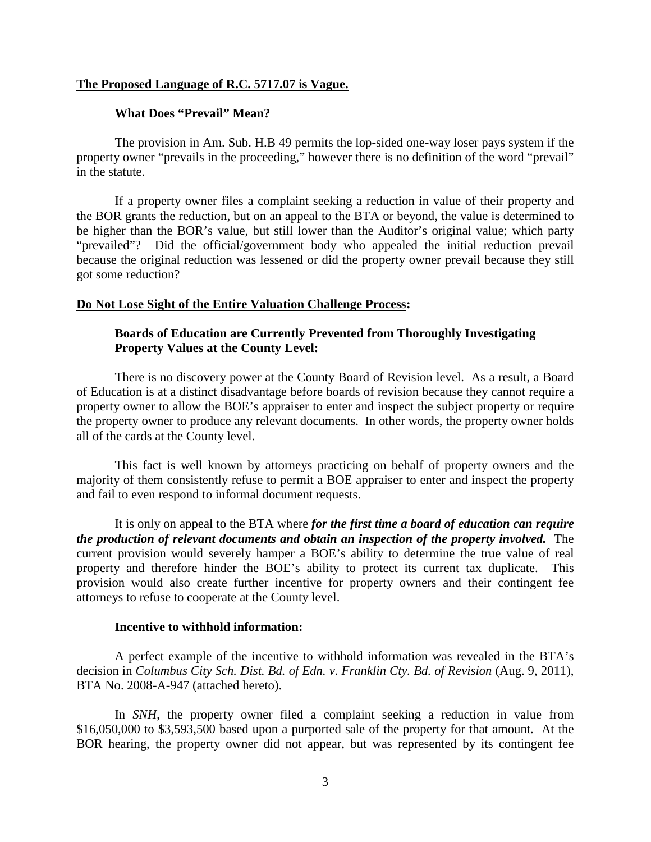### **The Proposed Language of R.C. 5717.07 is Vague.**

#### **What Does "Prevail" Mean?**

The provision in Am. Sub. H.B 49 permits the lop-sided one-way loser pays system if the property owner "prevails in the proceeding," however there is no definition of the word "prevail" in the statute.

If a property owner files a complaint seeking a reduction in value of their property and the BOR grants the reduction, but on an appeal to the BTA or beyond, the value is determined to be higher than the BOR's value, but still lower than the Auditor's original value; which party "prevailed"? Did the official/government body who appealed the initial reduction prevail because the original reduction was lessened or did the property owner prevail because they still got some reduction?

#### **Do Not Lose Sight of the Entire Valuation Challenge Process:**

# **Boards of Education are Currently Prevented from Thoroughly Investigating Property Values at the County Level:**

There is no discovery power at the County Board of Revision level. As a result, a Board of Education is at a distinct disadvantage before boards of revision because they cannot require a property owner to allow the BOE's appraiser to enter and inspect the subject property or require the property owner to produce any relevant documents. In other words, the property owner holds all of the cards at the County level.

This fact is well known by attorneys practicing on behalf of property owners and the majority of them consistently refuse to permit a BOE appraiser to enter and inspect the property and fail to even respond to informal document requests.

It is only on appeal to the BTA where *for the first time a board of education can require the production of relevant documents and obtain an inspection of the property involved.* The current provision would severely hamper a BOE's ability to determine the true value of real property and therefore hinder the BOE's ability to protect its current tax duplicate. This provision would also create further incentive for property owners and their contingent fee attorneys to refuse to cooperate at the County level.

### **Incentive to withhold information:**

A perfect example of the incentive to withhold information was revealed in the BTA's decision in *Columbus City Sch. Dist. Bd. of Edn. v. Franklin Cty. Bd. of Revision* (Aug. 9, 2011), BTA No. 2008-A-947 (attached hereto).

In *SNH*, the property owner filed a complaint seeking a reduction in value from \$16,050,000 to \$3,593,500 based upon a purported sale of the property for that amount. At the BOR hearing, the property owner did not appear, but was represented by its contingent fee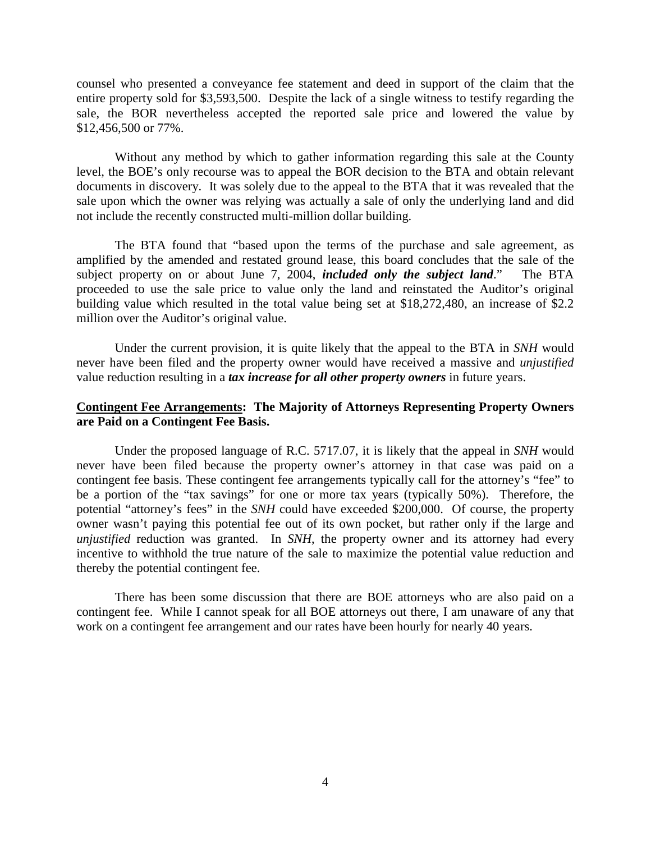counsel who presented a conveyance fee statement and deed in support of the claim that the entire property sold for \$3,593,500. Despite the lack of a single witness to testify regarding the sale, the BOR nevertheless accepted the reported sale price and lowered the value by \$12,456,500 or 77%.

Without any method by which to gather information regarding this sale at the County level, the BOE's only recourse was to appeal the BOR decision to the BTA and obtain relevant documents in discovery. It was solely due to the appeal to the BTA that it was revealed that the sale upon which the owner was relying was actually a sale of only the underlying land and did not include the recently constructed multi-million dollar building.

The BTA found that "based upon the terms of the purchase and sale agreement, as amplified by the amended and restated ground lease, this board concludes that the sale of the subject property on or about June 7, 2004, *included only the subject land*." The BTA proceeded to use the sale price to value only the land and reinstated the Auditor's original building value which resulted in the total value being set at \$18,272,480, an increase of \$2.2 million over the Auditor's original value.

Under the current provision, it is quite likely that the appeal to the BTA in *SNH* would never have been filed and the property owner would have received a massive and *unjustified* value reduction resulting in a *tax increase for all other property owners* in future years.

# **Contingent Fee Arrangements: The Majority of Attorneys Representing Property Owners are Paid on a Contingent Fee Basis.**

Under the proposed language of R.C. 5717.07, it is likely that the appeal in *SNH* would never have been filed because the property owner's attorney in that case was paid on a contingent fee basis. These contingent fee arrangements typically call for the attorney's "fee" to be a portion of the "tax savings" for one or more tax years (typically 50%). Therefore, the potential "attorney's fees" in the *SNH* could have exceeded \$200,000. Of course, the property owner wasn't paying this potential fee out of its own pocket, but rather only if the large and *unjustified* reduction was granted. In *SNH*, the property owner and its attorney had every incentive to withhold the true nature of the sale to maximize the potential value reduction and thereby the potential contingent fee.

There has been some discussion that there are BOE attorneys who are also paid on a contingent fee. While I cannot speak for all BOE attorneys out there, I am unaware of any that work on a contingent fee arrangement and our rates have been hourly for nearly 40 years.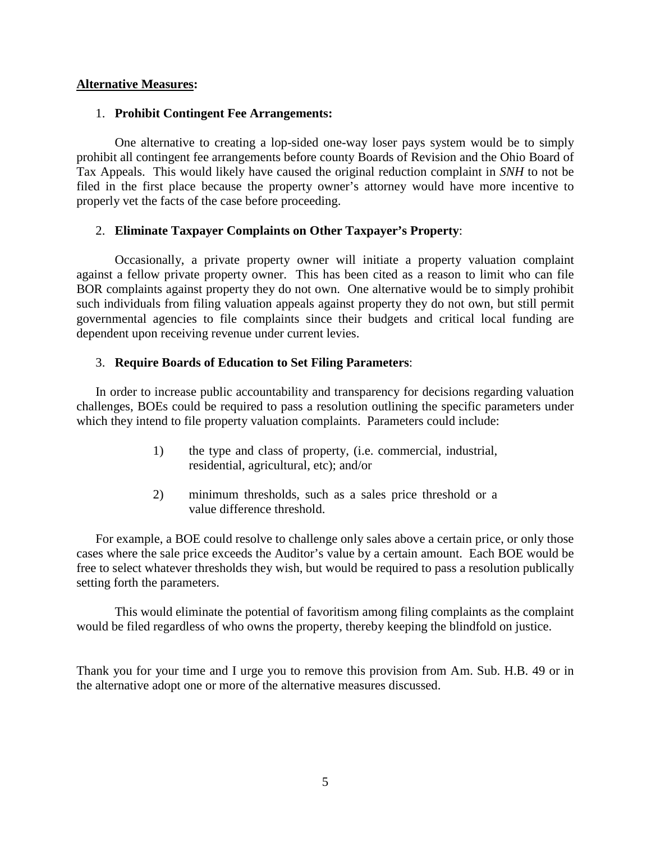# **Alternative Measures:**

# 1. **Prohibit Contingent Fee Arrangements:**

One alternative to creating a lop-sided one-way loser pays system would be to simply prohibit all contingent fee arrangements before county Boards of Revision and the Ohio Board of Tax Appeals. This would likely have caused the original reduction complaint in *SNH* to not be filed in the first place because the property owner's attorney would have more incentive to properly vet the facts of the case before proceeding.

# 2. **Eliminate Taxpayer Complaints on Other Taxpayer's Property**:

Occasionally, a private property owner will initiate a property valuation complaint against a fellow private property owner. This has been cited as a reason to limit who can file BOR complaints against property they do not own. One alternative would be to simply prohibit such individuals from filing valuation appeals against property they do not own, but still permit governmental agencies to file complaints since their budgets and critical local funding are dependent upon receiving revenue under current levies.

# 3. **Require Boards of Education to Set Filing Parameters**:

In order to increase public accountability and transparency for decisions regarding valuation challenges, BOEs could be required to pass a resolution outlining the specific parameters under which they intend to file property valuation complaints. Parameters could include:

- 1) the type and class of property, (i.e. commercial, industrial, residential, agricultural, etc); and/or
- 2) minimum thresholds, such as a sales price threshold or a value difference threshold.

For example, a BOE could resolve to challenge only sales above a certain price, or only those cases where the sale price exceeds the Auditor's value by a certain amount. Each BOE would be free to select whatever thresholds they wish, but would be required to pass a resolution publically setting forth the parameters.

This would eliminate the potential of favoritism among filing complaints as the complaint would be filed regardless of who owns the property, thereby keeping the blindfold on justice.

Thank you for your time and I urge you to remove this provision from Am. Sub. H.B. 49 or in the alternative adopt one or more of the alternative measures discussed.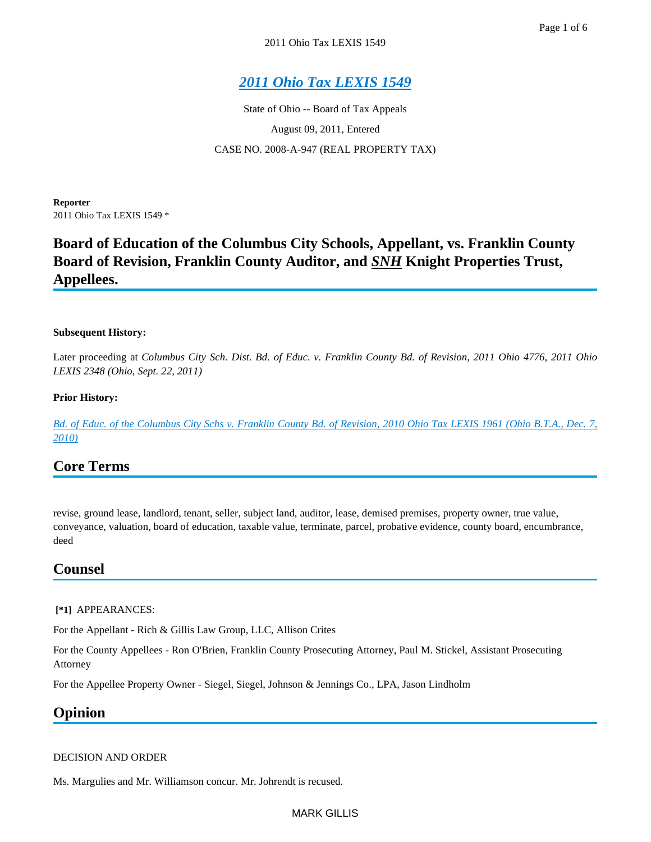State of Ohio -- Board of Tax Appeals August 09, 2011, Entered CASE NO. 2008-A-947 (REAL PROPERTY TAX)

**Reporter** 2011 Ohio Tax LEXIS 1549 \*

# **Board of Education of the Columbus City Schools, Appellant, vs. Franklin County Board of Revision, Franklin County Auditor, and** *SNH* **Knight Properties Trust, Appellees.**

#### **Subsequent History:**

Later proceeding at *Columbus City Sch. Dist. Bd. of Educ. v. Franklin County Bd. of Revision, 2011 Ohio 4776, 2011 Ohio LEXIS 2348 (Ohio, Sept. 22, 2011)*

#### **Prior History:**

*[Bd. of Educ. of the Columbus City Schs v. Franklin County Bd. of Revision, 2010 Ohio Tax LEXIS 1961 \(Ohio B.T.A., Dec. 7,](https://advance.lexis.com/api/document?collection=administrative-materials&id=urn:contentItem:521H-RWW0-00V5-10V0-00000-00&context=)  [2010\)](https://advance.lexis.com/api/document?collection=administrative-materials&id=urn:contentItem:521H-RWW0-00V5-10V0-00000-00&context=)*

# **Core Terms**

revise, ground lease, landlord, tenant, seller, subject land, auditor, lease, demised premises, property owner, true value, conveyance, valuation, board of education, taxable value, terminate, parcel, probative evidence, county board, encumbrance, deed

# **Counsel**

#### **[\*1]** APPEARANCES:

For the Appellant - Rich & Gillis Law Group, LLC, Allison Crites

For the County Appellees - Ron O'Brien, Franklin County Prosecuting Attorney, Paul M. Stickel, Assistant Prosecuting Attorney

For the Appellee Property Owner - Siegel, Siegel, Johnson & Jennings Co., LPA, Jason Lindholm

# **Opinion**

#### DECISION AND ORDER

Ms. Margulies and Mr. Williamson concur. Mr. Johrendt is recused.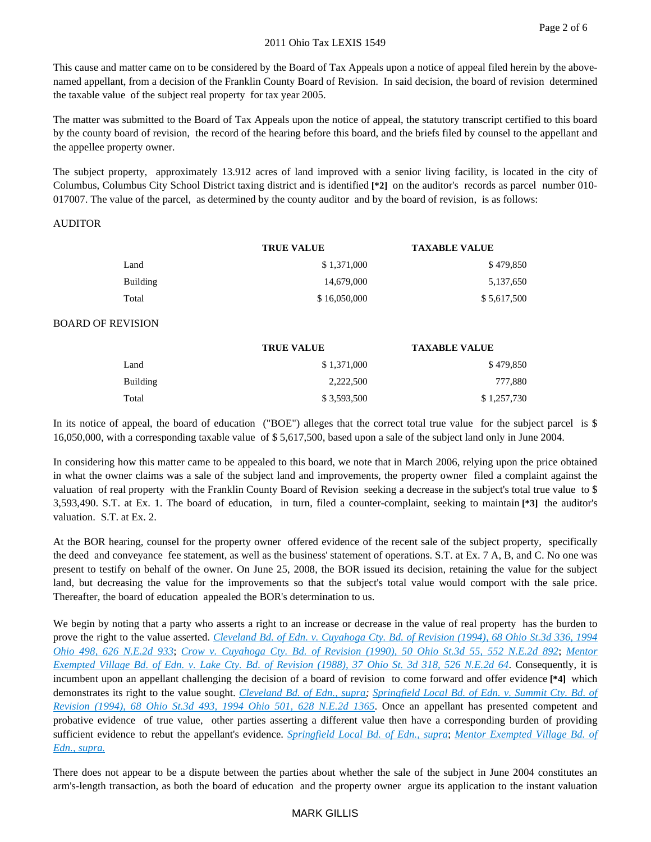This cause and matter came on to be considered by the Board of Tax Appeals upon a notice of appeal filed herein by the abovenamed appellant, from a decision of the Franklin County Board of Revision. In said decision, the board of revision determined the taxable value of the subject real property for tax year 2005.

The matter was submitted to the Board of Tax Appeals upon the notice of appeal, the statutory transcript certified to this board by the county board of revision, the record of the hearing before this board, and the briefs filed by counsel to the appellant and the appellee property owner.

The subject property, approximately 13.912 acres of land improved with a senior living facility, is located in the city of Columbus, Columbus City School District taxing district and is identified **[\*2]** on the auditor's records as parcel number 010- 017007. The value of the parcel, as determined by the county auditor and by the board of revision, is as follows:

#### AUDITOR

|          | <b>TRUE VALUE</b> | <b>TAXABLE VALUE</b> |
|----------|-------------------|----------------------|
| Land     | \$1,371,000       | \$479,850            |
| Building | 14,679,000        | 5,137,650            |
| Total    | \$16,050,000      | \$5,617,500          |

#### BOARD OF REVISION

|          | <b>TRUE VALUE</b> | <b>TAXABLE VALUE</b> |
|----------|-------------------|----------------------|
| Land     | \$1,371,000       | \$479,850            |
| Building | 2.222.500         | 777,880              |
| Total    | \$3,593,500       | \$1,257,730          |

In its notice of appeal, the board of education ("BOE") alleges that the correct total true value for the subject parcel is \$ 16,050,000, with a corresponding taxable value of \$ 5,617,500, based upon a sale of the subject land only in June 2004.

In considering how this matter came to be appealed to this board, we note that in March 2006, relying upon the price obtained in what the owner claims was a sale of the subject land and improvements, the property owner filed a complaint against the valuation of real property with the Franklin County Board of Revision seeking a decrease in the subject's total true value to \$ 3,593,490. S.T. at Ex. 1. The board of education, in turn, filed a counter-complaint, seeking to maintain **[\*3]** the auditor's valuation. S.T. at Ex. 2.

At the BOR hearing, counsel for the property owner offered evidence of the recent sale of the subject property, specifically the deed and conveyance fee statement, as well as the business' statement of operations. S.T. at Ex. 7 A, B, and C. No one was present to testify on behalf of the owner. On June 25, 2008, the BOR issued its decision, retaining the value for the subject land, but decreasing the value for the improvements so that the subject's total value would comport with the sale price. Thereafter, the board of education appealed the BOR's determination to us.

We begin by noting that a party who asserts a right to an increase or decrease in the value of real property has the burden to prove the right to the value asserted. *[Cleveland Bd. of Edn. v. Cuyahoga Cty. Bd. of Revision \(1994\), 68 Ohio](https://advance.lexis.com/api/document?collection=cases&id=urn:contentItem:3S3K-YP10-003C-80TV-00000-00&context=) St.3d 336, 1994 [Ohio 498, 626 N.E.2d 933](https://advance.lexis.com/api/document?collection=cases&id=urn:contentItem:3S3K-YP10-003C-80TV-00000-00&context=)*; *[Crow v. Cuyahoga Cty. Bd. of Revision \(1990\), 50 Ohio St.3d 55, 552 N.E.2d 892](https://advance.lexis.com/api/document?collection=cases&id=urn:contentItem:3RRS-NGW0-008T-Y548-00000-00&context=)*; *[Mentor](https://advance.lexis.com/api/document?collection=cases&id=urn:contentItem:3RRS-RKN0-008T-Y4YJ-00000-00&context=)  [Exempted Village Bd. of Edn. v. Lake Cty. Bd. of Revision \(1988\), 37 Ohio St. 3d 318, 526 N.E.2d 64](https://advance.lexis.com/api/document?collection=cases&id=urn:contentItem:3RRS-RKN0-008T-Y4YJ-00000-00&context=)*. Consequently, it is incumbent upon an appellant challenging the decision of a board of revision to come forward and offer evidence **[\*4]** which demonstrates its right to the value sought. *[Cleveland Bd. of Edn., supra;](https://advance.lexis.com/api/document?collection=cases&id=urn:contentItem:3S3K-YP10-003C-80TV-00000-00&context=) [Springfield Local Bd. of Edn. v. Summit Cty. Bd. of](https://advance.lexis.com/api/document?collection=cases&id=urn:contentItem:3S3K-YJ10-003C-84NP-00000-00&context=)  [Revision \(1994\), 68 Ohio St.3d 493, 1994 Ohio 501, 628 N.E.2d 1365](https://advance.lexis.com/api/document?collection=cases&id=urn:contentItem:3S3K-YJ10-003C-84NP-00000-00&context=)*. Once an appellant has presented competent and probative evidence of true value, other parties asserting a different value then have a corresponding burden of providing sufficient evidence to rebut the appellant's evidence. *[Springfield Local Bd. of Edn., supra](https://advance.lexis.com/api/document?collection=cases&id=urn:contentItem:3S3K-YJ10-003C-84NP-00000-00&context=)*; *[Mentor Exempted Village Bd. of](https://advance.lexis.com/api/document?collection=cases&id=urn:contentItem:3RRS-RKN0-008T-Y4YJ-00000-00&context=)  [Edn., supra.](https://advance.lexis.com/api/document?collection=cases&id=urn:contentItem:3RRS-RKN0-008T-Y4YJ-00000-00&context=)*

There does not appear to be a dispute between the parties about whether the sale of the subject in June 2004 constitutes an arm's-length transaction, as both the board of education and the property owner argue its application to the instant valuation

### MARK GILLIS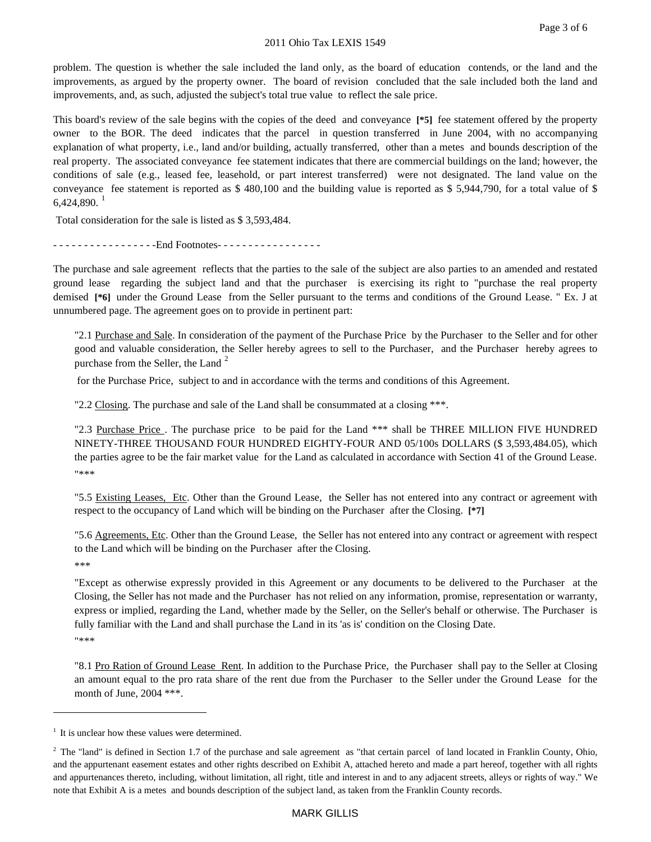problem. The question is whether the sale included the land only, as the board of education contends, or the land and the improvements, as argued by the property owner. The board of revision concluded that the sale included both the land and improvements, and, as such, adjusted the subject's total true value to reflect the sale price.

This board's review of the sale begins with the copies of the deed and conveyance **[\*5]** fee statement offered by the property owner to the BOR. The deed indicates that the parcel in question transferred in June 2004, with no accompanying explanation of what property, i.e., land and/or building, actually transferred, other than a metes and bounds description of the real property. The associated conveyance fee statement indicates that there are commercial buildings on the land; however, the conditions of sale (e.g., leased fee, leasehold, or part interest transferred) were not designated. The land value on the conveyance fee statement is reported as \$ 480,100 and the building value is reported as \$ 5,944,790, for a total value of \$  $6,424,890.<sup>1</sup>$  $6,424,890.<sup>1</sup>$  $6,424,890.<sup>1</sup>$ 

Total consideration for the sale is listed as \$ 3,593,484.

- - - - - - - - - - - - - - - - - Find Footnotes - - - - - - - - - - - - - - - - -

The purchase and sale agreement reflects that the parties to the sale of the subject are also parties to an amended and restated ground lease regarding the subject land and that the purchaser is exercising its right to "purchase the real property demised **[\*6]** under the Ground Lease from the Seller pursuant to the terms and conditions of the Ground Lease. " Ex. J at unnumbered page. The agreement goes on to provide in pertinent part:

"2.1 Purchase and Sale. In consideration of the payment of the Purchase Price by the Purchaser to the Seller and for other good and valuable consideration, the Seller hereby agrees to sell to the Purchaser, and the Purchaser hereby agrees to purchase from the Seller, the Land<sup>[2](#page-7-1)</sup>

for the Purchase Price, subject to and in accordance with the terms and conditions of this Agreement.

"2.2 Closing. The purchase and sale of the Land shall be consummated at a closing \*\*\*.

"2.3 Purchase Price . The purchase price to be paid for the Land \*\*\* shall be THREE MILLION FIVE HUNDRED NINETY-THREE THOUSAND FOUR HUNDRED EIGHTY-FOUR AND 05/100s DOLLARS (\$ 3,593,484.05), which the parties agree to be the fair market value for the Land as calculated in accordance with Section 41 of the Ground Lease. "\*\*\*

"5.5 Existing Leases, Etc. Other than the Ground Lease, the Seller has not entered into any contract or agreement with respect to the occupancy of Land which will be binding on the Purchaser after the Closing. **[\*7]**

"5.6 Agreements, Etc. Other than the Ground Lease, the Seller has not entered into any contract or agreement with respect to the Land which will be binding on the Purchaser after the Closing. \*\*\*

"Except as otherwise expressly provided in this Agreement or any documents to be delivered to the Purchaser at the Closing, the Seller has not made and the Purchaser has not relied on any information, promise, representation or warranty, express or implied, regarding the Land, whether made by the Seller, on the Seller's behalf or otherwise. The Purchaser is fully familiar with the Land and shall purchase the Land in its 'as is' condition on the Closing Date. "\*\*\*

"8.1 Pro Ration of Ground Lease Rent. In addition to the Purchase Price, the Purchaser shall pay to the Seller at Closing an amount equal to the pro rata share of the rent due from the Purchaser to the Seller under the Ground Lease for the month of June, 2004 \*\*\*.

 $\overline{a}$ 

<span id="page-7-0"></span> $<sup>1</sup>$  It is unclear how these values were determined.</sup>

<span id="page-7-1"></span> $2$  The "land" is defined in Section 1.7 of the purchase and sale agreement as "that certain parcel of land located in Franklin County, Ohio, and the appurtenant easement estates and other rights described on Exhibit A, attached hereto and made a part hereof, together with all rights and appurtenances thereto, including, without limitation, all right, title and interest in and to any adjacent streets, alleys or rights of way." We note that Exhibit A is a metes and bounds description of the subject land, as taken from the Franklin County records.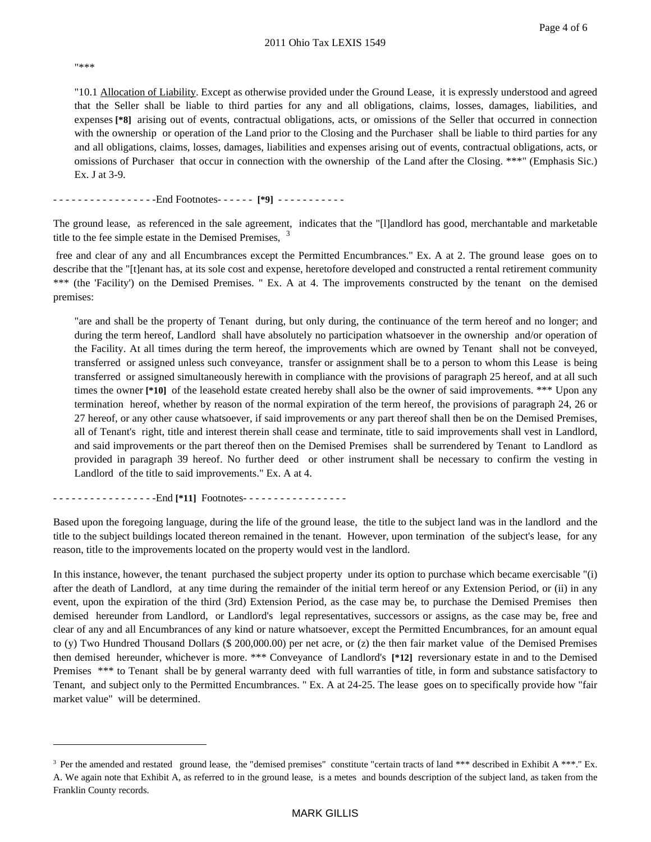"\*\*\*

 $\overline{a}$ 

"10.1 Allocation of Liability. Except as otherwise provided under the Ground Lease, it is expressly understood and agreed that the Seller shall be liable to third parties for any and all obligations, claims, losses, damages, liabilities, and expenses **[\*8]** arising out of events, contractual obligations, acts, or omissions of the Seller that occurred in connection with the ownership or operation of the Land prior to the Closing and the Purchaser shall be liable to third parties for any and all obligations, claims, losses, damages, liabilities and expenses arising out of events, contractual obligations, acts, or omissions of Purchaser that occur in connection with the ownership of the Land after the Closing. \*\*\*" (Emphasis Sic.) Ex. J at 3-9.

- - - - - - - - - - - - - - - - -End Footnotes- - - - - - **[\*9]** - - - - - - - - - - -

The ground lease, as referenced in the sale agreement, indicates that the "[l]andlord has good, merchantable and marketable title to the fee simple estate in the Demised Premises,  $3$ 

free and clear of any and all Encumbrances except the Permitted Encumbrances." Ex. A at 2. The ground lease goes on to describe that the "[t]enant has, at its sole cost and expense, heretofore developed and constructed a rental retirement community \*\*\* (the 'Facility') on the Demised Premises. " Ex. A at 4. The improvements constructed by the tenant on the demised premises:

"are and shall be the property of Tenant during, but only during, the continuance of the term hereof and no longer; and during the term hereof, Landlord shall have absolutely no participation whatsoever in the ownership and/or operation of the Facility. At all times during the term hereof, the improvements which are owned by Tenant shall not be conveyed, transferred or assigned unless such conveyance, transfer or assignment shall be to a person to whom this Lease is being transferred or assigned simultaneously herewith in compliance with the provisions of paragraph 25 hereof, and at all such times the owner [\*10] of the leasehold estate created hereby shall also be the owner of said improvements. \*\*\* Upon any termination hereof, whether by reason of the normal expiration of the term hereof, the provisions of paragraph 24, 26 or 27 hereof, or any other cause whatsoever, if said improvements or any part thereof shall then be on the Demised Premises, all of Tenant's right, title and interest therein shall cease and terminate, title to said improvements shall vest in Landlord, and said improvements or the part thereof then on the Demised Premises shall be surrendered by Tenant to Landlord as provided in paragraph 39 hereof. No further deed or other instrument shall be necessary to confirm the vesting in Landlord of the title to said improvements." Ex. A at 4.

- - - - - - - - - - - - - - - - -End **[\*11]** Footnotes- - - - - - - - - - - - - - - - -

Based upon the foregoing language, during the life of the ground lease, the title to the subject land was in the landlord and the title to the subject buildings located thereon remained in the tenant. However, upon termination of the subject's lease, for any reason, title to the improvements located on the property would vest in the landlord.

In this instance, however, the tenant purchased the subject property under its option to purchase which became exercisable "(i) after the death of Landlord, at any time during the remainder of the initial term hereof or any Extension Period, or (ii) in any event, upon the expiration of the third (3rd) Extension Period, as the case may be, to purchase the Demised Premises then demised hereunder from Landlord, or Landlord's legal representatives, successors or assigns, as the case may be, free and clear of any and all Encumbrances of any kind or nature whatsoever, except the Permitted Encumbrances, for an amount equal to (y) Two Hundred Thousand Dollars (\$ 200,000.00) per net acre, or (z) the then fair market value of the Demised Premises then demised hereunder, whichever is more. \*\*\* Conveyance of Landlord's **[\*12]** reversionary estate in and to the Demised Premises \*\*\* to Tenant shall be by general warranty deed with full warranties of title, in form and substance satisfactory to Tenant, and subject only to the Permitted Encumbrances. " Ex. A at 24-25. The lease goes on to specifically provide how "fair market value" will be determined.

<span id="page-8-0"></span><sup>&</sup>lt;sup>3</sup> Per the amended and restated ground lease, the "demised premises" constitute "certain tracts of land \*\*\* described in Exhibit A \*\*\*." Ex. A. We again note that Exhibit A, as referred to in the ground lease, is a metes and bounds description of the subject land, as taken from the Franklin County records.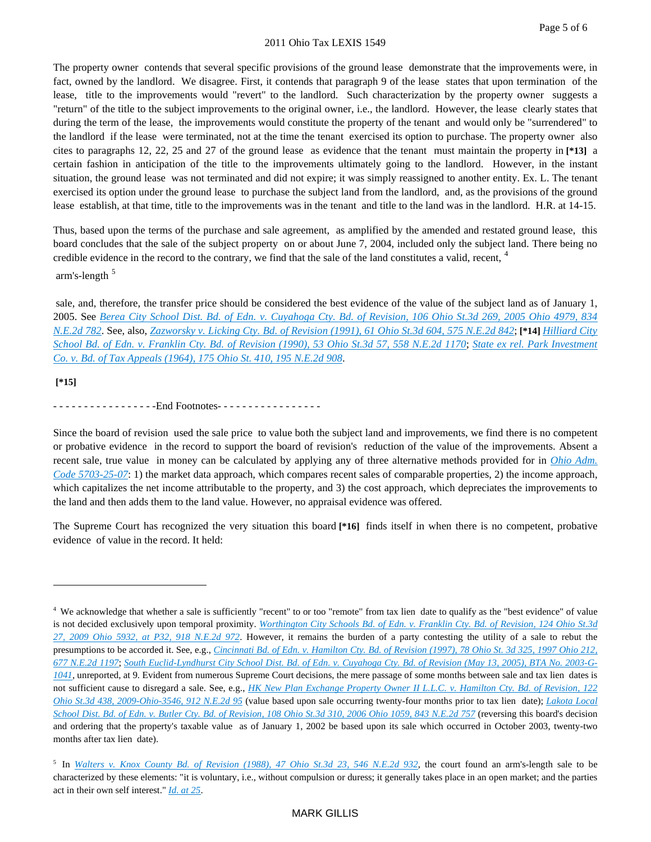The property owner contends that several specific provisions of the ground lease demonstrate that the improvements were, in fact, owned by the landlord. We disagree. First, it contends that paragraph 9 of the lease states that upon termination of the lease, title to the improvements would "revert" to the landlord. Such characterization by the property owner suggests a "return" of the title to the subject improvements to the original owner, i.e., the landlord. However, the lease clearly states that during the term of the lease, the improvements would constitute the property of the tenant and would only be "surrendered" to the landlord if the lease were terminated, not at the time the tenant exercised its option to purchase. The property owner also cites to paragraphs 12, 22, 25 and 27 of the ground lease as evidence that the tenant must maintain the property in **[\*13]** a certain fashion in anticipation of the title to the improvements ultimately going to the landlord. However, in the instant situation, the ground lease was not terminated and did not expire; it was simply reassigned to another entity. Ex. L. The tenant exercised its option under the ground lease to purchase the subject land from the landlord, and, as the provisions of the ground lease establish, at that time, title to the improvements was in the tenant and title to the land was in the landlord. H.R. at 14-15.

Thus, based upon the terms of the purchase and sale agreement, as amplified by the amended and restated ground lease, this board concludes that the sale of the subject property on or about June 7, 2004, included only the subject land. There being no credible evidence in the record to the contrary, we find that the sale of the land constitutes a valid, recent, <sup>[4](#page-9-0)</sup> arm's-length [5](#page-9-1)

sale, and, therefore, the transfer price should be considered the best evidence of the value of the subject land as of January 1, 2005. See *[Berea City School Dist. Bd. of Edn. v. Cuyahoga Cty. Bd. of Revision, 106 Ohio St.3d 269, 2005 Ohio 4979, 834](https://advance.lexis.com/api/document?collection=cases&id=urn:contentItem:4H87-6J50-TVW7-J337-00000-00&context=)  [N.E.2d 782](https://advance.lexis.com/api/document?collection=cases&id=urn:contentItem:4H87-6J50-TVW7-J337-00000-00&context=)*. See, also, *[Zazworsky v. Licking Cty. Bd. of Revision \(1991\), 61 Ohio St.3d 604, 575 N.E.2d 842](https://advance.lexis.com/api/document?collection=cases&id=urn:contentItem:3RRS-KXP0-008T-Y44V-00000-00&context=)*; **[\*14]** *[Hilliard City](https://advance.lexis.com/api/document?collection=cases&id=urn:contentItem:3RRS-N9X0-008T-Y3J8-00000-00&context=)  [School Bd. of Edn. v. Franklin Cty. Bd. of Revision \(1990\), 53 Ohio St.3d 57, 558 N.E.2d 1170](https://advance.lexis.com/api/document?collection=cases&id=urn:contentItem:3RRS-N9X0-008T-Y3J8-00000-00&context=)*; *[State ex rel. Park Investment](https://advance.lexis.com/api/document?collection=cases&id=urn:contentItem:3RRM-T1W0-003C-6293-00000-00&context=)  [Co. v. Bd. of Tax Appeals \(1964\), 175 Ohio St. 410, 195 N.E.2d 908](https://advance.lexis.com/api/document?collection=cases&id=urn:contentItem:3RRM-T1W0-003C-6293-00000-00&context=)*.

**[\*15]**

 $\overline{a}$ 

- - - - - - - - - - - - - - - - End Footnotes - - - - - - - - - - - - - - - - - -

Since the board of revision used the sale price to value both the subject land and improvements, we find there is no competent or probative evidence in the record to support the board of revision's reduction of the value of the improvements. Absent a recent sale, true value in money can be calculated by applying any of three alternative methods provided for in *[Ohio Adm.](https://advance.lexis.com/api/document?collection=administrative-codes&id=urn:contentItem:5NKC-1H20-009V-60MF-00000-00&context=)  [Code 5703-25-07](https://advance.lexis.com/api/document?collection=administrative-codes&id=urn:contentItem:5NKC-1H20-009V-60MF-00000-00&context=)*: 1) the market data approach, which compares recent sales of comparable properties, 2) the income approach, which capitalizes the net income attributable to the property, and 3) the cost approach, which depreciates the improvements to the land and then adds them to the land value. However, no appraisal evidence was offered.

The Supreme Court has recognized the very situation this board **[\*16]** finds itself in when there is no competent, probative evidence of value in the record. It held:

<span id="page-9-0"></span><sup>4</sup> We acknowledge that whether a sale is sufficiently "recent" to or too "remote" from tax lien date to qualify as the "best evidence" of value is not decided exclusively upon temporal proximity. *[Worthington City Schools Bd. of Edn. v. Franklin Cty. Bd. of Revision, 124 Ohio St.3d](https://advance.lexis.com/api/document?collection=cases&id=urn:contentItem:7X40-5XM0-YB0T-7003-00000-00&context=)  [27, 2009 Ohio 5932, at P32, 918 N.E.2d 972](https://advance.lexis.com/api/document?collection=cases&id=urn:contentItem:7X40-5XM0-YB0T-7003-00000-00&context=)*. However, it remains the burden of a party contesting the utility of a sale to rebut the presumptions to be accorded it. See, e.g., *Cincinnati Bd. of Edn. v. Hamilton Cty. Bd. of Revision (1997), 78 Ohio St. 3d 325, 1997 Ohio 212*, *[677 N.E.2d 1197](https://advance.lexis.com/api/document?collection=cases&id=urn:contentItem:3RJN-2XR0-0039-422R-00000-00&context=)*; *[South Euclid-Lyndhurst City School Dist. Bd. of Edn. v. Cuyahoga Cty. Bd. of Revision \(May 13, 2005\), BTA No. 2003-G-](https://advance.lexis.com/api/document?collection=administrative-materials&id=urn:contentItem:4G6Y-MR20-001K-12PT-00000-00&context=)[1041](https://advance.lexis.com/api/document?collection=administrative-materials&id=urn:contentItem:4G6Y-MR20-001K-12PT-00000-00&context=)*, unreported, at 9. Evident from numerous Supreme Court decisions, the mere passage of some months between sale and tax lien dates is not sufficient cause to disregard a sale. See, e.g., *[HK New Plan Exchange Property Owner II L.L.C. v. Hamilton Cty. Bd. of Revision, 122](https://advance.lexis.com/api/document?collection=cases&id=urn:contentItem:4WW3-NM40-TXFV-Y38K-00000-00&context=)  [Ohio St.3d 438, 2009-Ohio-3546, 912 N.E.2d 95](https://advance.lexis.com/api/document?collection=cases&id=urn:contentItem:4WW3-NM40-TXFV-Y38K-00000-00&context=)* (value based upon sale occurring twenty-four months prior to tax lien date); *Lakota Local [School Dist. Bd. of Edn. v. Butler Cty. Bd. of Revision, 108 Ohio St.3d 310, 2006 Ohio 1059, 843 N.E.2d 757](https://advance.lexis.com/api/document?collection=cases&id=urn:contentItem:4JJ2-D1Y0-TVW7-J33C-00000-00&context=)* (reversing this board's decision and ordering that the property's taxable value as of January 1, 2002 be based upon its sale which occurred in October 2003, twenty-two months after tax lien date).

<span id="page-9-1"></span><sup>5</sup> In *[Walters v. Knox County Bd. of Revision \(1988\), 47 Ohio St.3d 23, 546 N.E.2d 932](https://advance.lexis.com/api/document?collection=cases&id=urn:contentItem:3RRS-NX20-008T-Y2W6-00000-00&context=)*, the court found an arm's-length sale to be characterized by these elements: "it is voluntary, i.e., without compulsion or duress; it generally takes place in an open market; and the parties act in their own self interest." *[Id. at 25](https://advance.lexis.com/api/document?collection=cases&id=urn:contentItem:3RRS-NX20-008T-Y2W6-00000-00&context=)*.